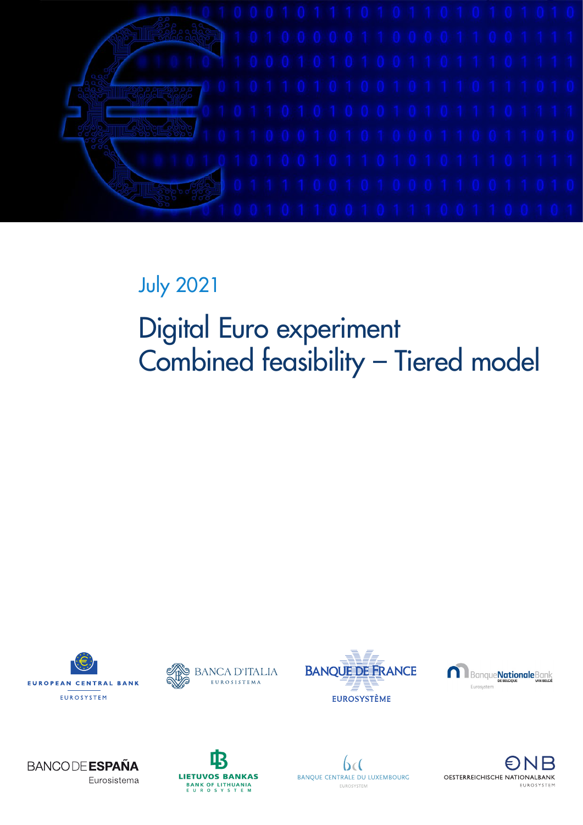

# July 2021

# Digital Euro experiment Combined feasibility – Tiered model













 $b\epsilon$ BANQUE CENTRALE DU LUXEMBOURG EUROSYSTEM

OESTERREICHISCHE NATIONALBANK FUROSYSTEM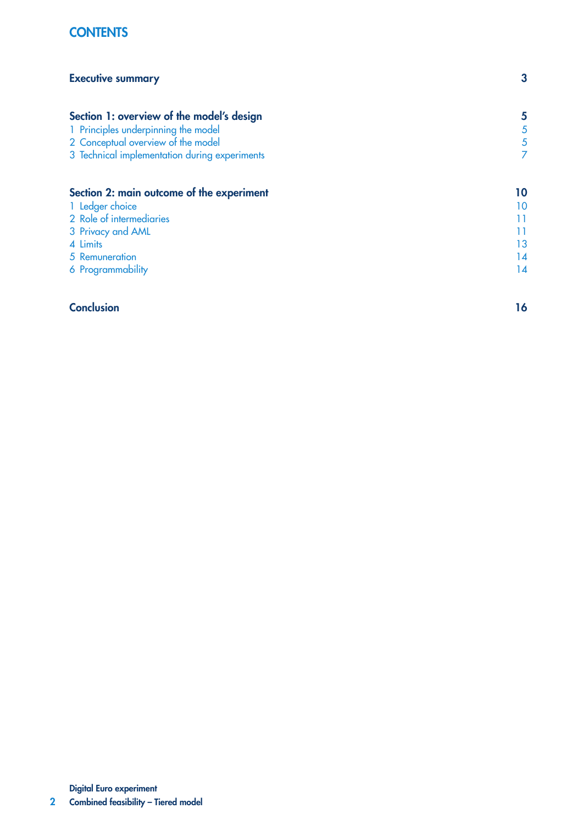# **CONTENTS**

| <b>Executive summary</b>                      | 3  |
|-----------------------------------------------|----|
| Section 1: overview of the model's design     | 5  |
| 1 Principles underpinning the model           | 5  |
| 2 Conceptual overview of the model            | 5  |
| 3 Technical implementation during experiments | 7  |
| Section 2: main outcome of the experiment     | 10 |
| 1 Ledger choice                               | 10 |
| 2 Role of intermediaries                      | 11 |
| 3 Privacy and AML                             | 11 |
| 4 Limits                                      | 13 |
| 5 Remuneration                                | 14 |
| 6 Programmability                             | 14 |
| <b>Conclusion</b>                             | 16 |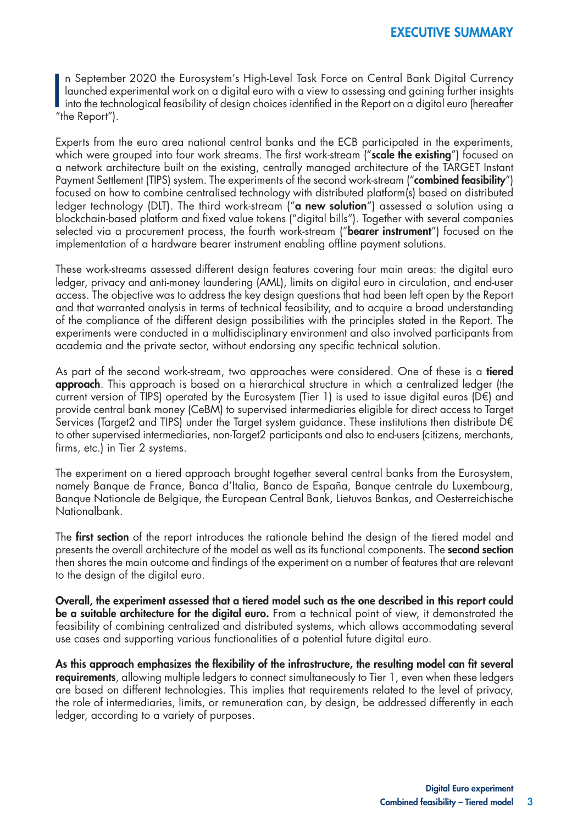n Septembe<br>
launched ex<br>
into the tech<br>
"the Report"). n September 2020 the Eurosystem's High-Level Task Force on Central Bank Digital Currency launched experimental work on a digital euro with a view to assessing and gaining further insights into the technological feasibility of design choices identified in the [Report on a digital euro](https://www.ecb.europa.eu/pub/pdf/other/Report_on_a_digital_euro~4d7268b458.en.pdf) (hereafter

Experts from the euro area national central banks and the ECB participated in the experiments, which were grouped into [four work streams](https://www.ecb.europa.eu/pub/pdf/other/ecb.digitaleuroscopekeylearnings202107~564d89045e.en.pdf?9d31ee4587d2acda4b4359def76f3375). The first work-stream ("scale the existing") focused on a network architecture built on the existing, centrally managed architecture of the TARGET Instant Payment Settlement (TIPS) system. The experiments of the second work-stream ("combined feasibility") focused on how to combine centralised technology with distributed platform(s) based on distributed ledger technology (DLT). The third work-stream ("a new solution") assessed a solution using a blockchain-based platform and fixed value tokens ("digital bills"). Together with several companies selected via a procurement process, the fourth work-stream ("**bearer instrument**") focused on the implementation of a hardware bearer instrument enabling offline payment solutions.

These work-streams assessed different design features covering four main areas: the digital euro ledger, privacy and anti-money laundering (AML), limits on digital euro in circulation, and end-user access. The objective was to address the key design questions that had been left open by the Report and that warranted analysis in terms of technical feasibility, and to acquire a broad understanding of the compliance of the different design possibilities with the principles stated in the Report. The experiments were conducted in a multidisciplinary environment and also involved participants from academia and the private sector, without endorsing any specific technical solution.

As part of the second work-stream, two approaches were considered. One of these is a tiered approach. This approach is based on a hierarchical structure in which a centralized ledger (the current version of TIPS) operated by the Eurosystem (Tier 1) is used to issue digital euros (D€) and provide central bank money (CeBM) to supervised intermediaries eligible for direct access to Target Services (Target2 and TIPS) under the Target system guidance. These institutions then distribute D€ to other supervised intermediaries, non-Target2 participants and also to end-users (citizens, merchants, firms, etc.) in Tier 2 systems.

The experiment on a tiered approach brought together several central banks from the Eurosystem, namely Banque de France, Banca d'Italia, Banco de España, Banque centrale du Luxembourg, Banque Nationale de Belgique, the European Central Bank, Lietuvos Bankas, and Oesterreichische Nationalbank.

The first section of the report introduces the rationale behind the design of the tiered model and presents the overall architecture of the model as well as its functional components. The **second section** then shares the main outcome and findings of the experiment on a number of features that are relevant to the design of the digital euro.

Overall, the experiment assessed that a tiered model such as the one described in this report could be a suitable architecture for the digital euro. From a technical point of view, it demonstrated the feasibility of combining centralized and distributed systems, which allows accommodating several use cases and supporting various functionalities of a potential future digital euro.

As this approach emphasizes the flexibility of the infrastructure, the resulting model can fit several requirements, allowing multiple ledgers to connect simultaneously to Tier 1, even when these ledgers are based on different technologies. This implies that requirements related to the level of privacy, the role of intermediaries, limits, or remuneration can, by design, be addressed differently in each ledger, according to a variety of purposes.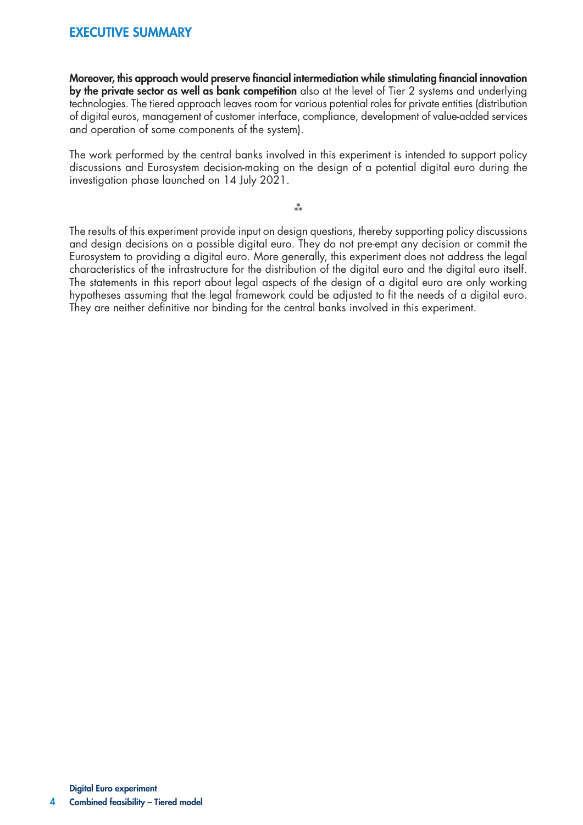# EXECUTIVE SUMMARY

Moreover, this approach would preserve financial intermediation while stimulating financial innovation by the private sector as well as bank competition also at the level of Tier 2 systems and underlying technologies. The tiered approach leaves room for various potential roles for private entities (distribution of digital euros, management of customer interface, compliance, development of value-added services and operation of some components of the system).

The work performed by the central banks involved in this experiment is intended to support policy discussions and Eurosystem decision-making on the design of a potential digital euro during the investigation phase launched on 14 July 2021.

 $**$ 

The results of this experiment provide input on design questions, thereby supporting policy discussions and design decisions on a possible digital euro. They do not pre-empt any decision or commit the Eurosystem to providing a digital euro. More generally, this experiment does not address the legal characteristics of the infrastructure for the distribution of the digital euro and the digital euro itself. The statements in this report about legal aspects of the design of a digital euro are only working hypotheses assuming that the legal framework could be adjusted to fit the needs of a digital euro. They are neither definitive nor binding for the central banks involved in this experiment.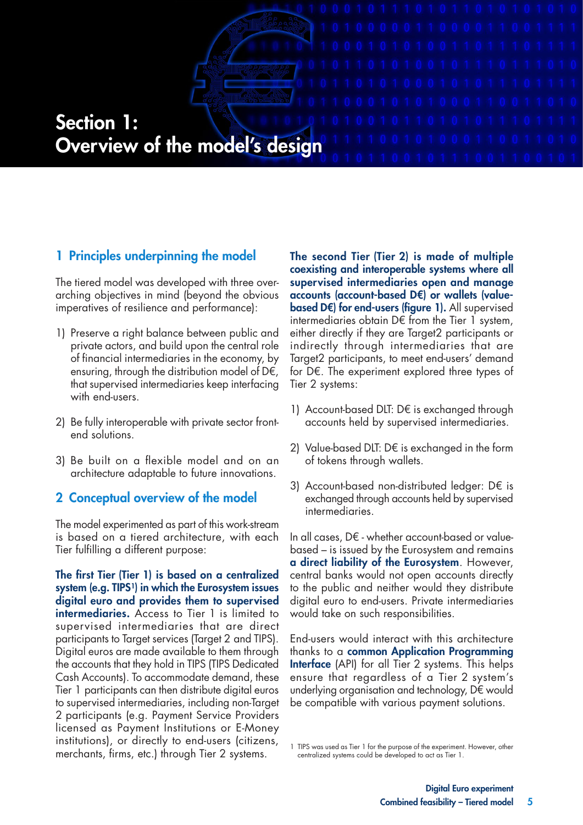# Section 1: Overview of the model's design

# 1 Principles underpinning the model

The tiered model was developed with three overarching objectives in mind (beyond the obvious imperatives of resilience and performance):

- 1) Preserve a right balance between public and private actors, and build upon the central role of financial intermediaries in the economy, by ensuring, through the distribution model of  $D \in$ , that supervised intermediaries keep interfacing with end-users.
- 2) Be fully interoperable with private sector frontend solutions.
- 3) Be built on a flexible model and on an architecture adaptable to future innovations.

# 2 Conceptual overview of the model

The model experimented as part of this work-stream is based on a tiered architecture, with each Tier fulfilling a different purpose:

The first Tier (Tier 1) is based on a centralized system (e.g. TIPS<sup>1</sup>) in which the Eurosystem issues digital euro and provides them to supervised **intermediaries.** Access to Tier 1 is limited to supervised intermediaries that are direct participants to Target services (Target 2 and TIPS). Digital euros are made available to them through the accounts that they hold in TIPS (TIPS Dedicated Cash Accounts). To accommodate demand, these Tier 1 participants can then distribute digital euros to supervised intermediaries, including non-Target 2 participants (e.g. Payment Service Providers licensed as Payment Institutions or E-Money institutions), or directly to end-users (citizens, merchants, firms, etc.) through Tier 2 systems.

The second Tier (Tier 2) is made of multiple coexisting and interoperable systems where all supervised intermediaries open and manage accounts (account-based D€) or wallets (valuebased D€) for end-users (figure 1). All supervised intermediaries obtain  $D \in$  from the Tier 1 system, either directly if they are Target2 participants or indirectly through intermediaries that are Target2 participants, to meet end-users' demand for D€. The experiment explored three types of Tier 2 systems:

- 1) Account-based DLT: D€ is exchanged through accounts held by supervised intermediaries.
- 2) Value-based DLT: D€ is exchanged in the form of tokens through wallets.
- 3) Account-based non-distributed ledger: D€ is exchanged through accounts held by supervised intermediaries.

In all cases, D€ - whether account-based or valuebased – is issued by the Eurosystem and remains a direct liability of the Eurosystem. However, central banks would not open accounts directly to the public and neither would they distribute digital euro to end-users. Private intermediaries would take on such responsibilities.

End-users would interact with this architecture thanks to a common Application Programming **Interface** (API) for all Tier 2 systems. This helps ensure that regardless of a Tier 2 system's underlying organisation and technology, D€ would be compatible with various payment solutions.

1 TIPS was used as Tier 1 for the purpose of the experiment. However, other centralized systems could be developed to act as Tier 1.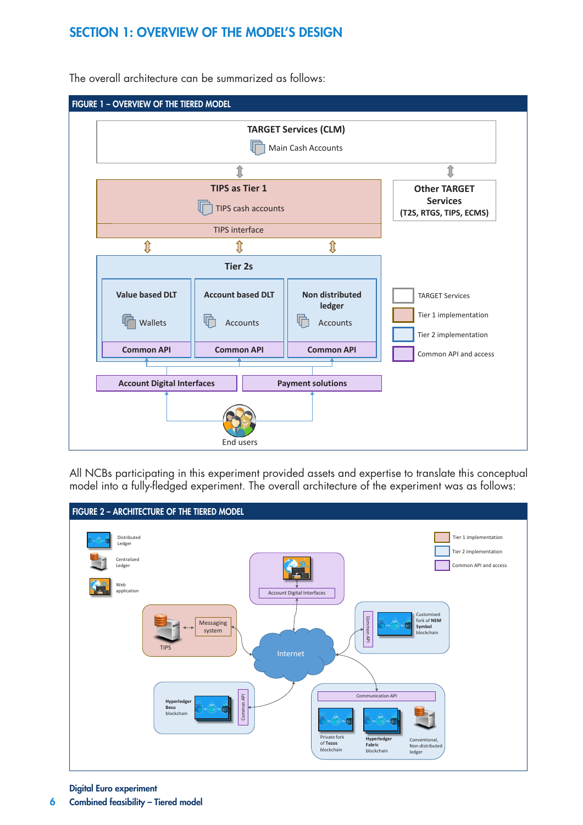# SECTION 1: OVERVIEW OF THE MODEL'S DESIGN



The overall architecture can be summarized as follows:

All NCBs participating in this experiment provided assets and expertise to translate this conceptual model into a fully-fledged experiment. The overall architecture of the experiment was as follows:



Digital Euro experiment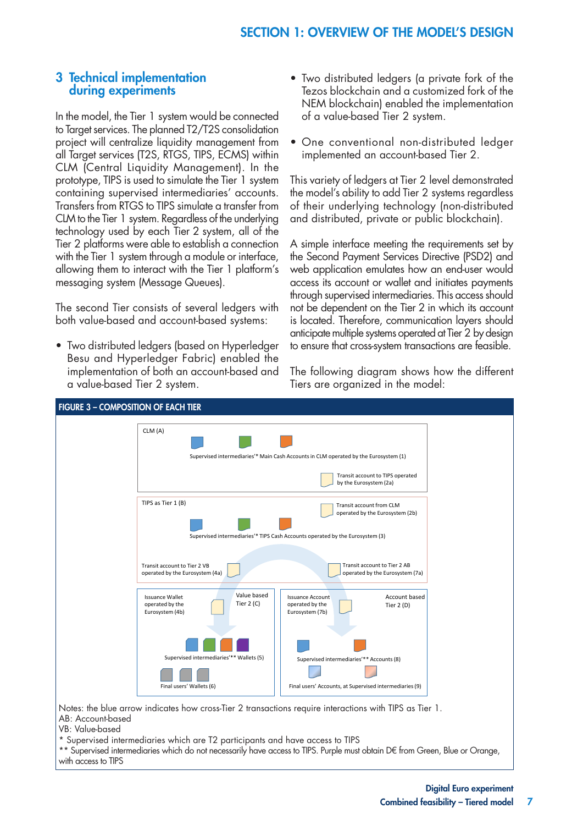### 3 Technical implementation during experiments

In the model, the Tier 1 system would be connected to Target services. The planned T2/T2S consolidation project will centralize liquidity management from all Target services (T2S, RTGS, TIPS, ECMS) within CLM (Central Liquidity Management). In the prototype, TIPS is used to simulate the Tier 1 system containing supervised intermediaries' accounts. Transfers from RTGS to TIPS simulate a transfer from CLM to the Tier 1 system. Regardless of the underlying technology used by each Tier 2 system, all of the Tier 2 platforms were able to establish a connection with the Tier 1 system through a module or interface, allowing them to interact with the Tier 1 platform's messaging system (Message Queues).

The second Tier consists of several ledgers with both value-based and account-based systems:

• Two distributed ledgers (based on Hyperledger Besu and Hyperledger Fabric) enabled the implementation of both an account-based and a value-based Tier 2 system.

- Two distributed ledgers (a private fork of the Tezos blockchain and a customized fork of the NEM blockchain) enabled the implementation of a value-based Tier 2 system.
- One conventional non-distributed ledger implemented an account-based Tier 2.

This variety of ledgers at Tier 2 level demonstrated the model's ability to add Tier 2 systems regardless of their underlying technology (non-distributed and distributed, private or public blockchain).

A simple interface meeting the requirements set by the Second Payment Services Directive (PSD2) and web application emulates how an end-user would access its account or wallet and initiates payments through supervised intermediaries. This access should not be dependent on the Tier 2 in which its account is located. Therefore, communication layers should anticipate multiple systems operated at Tier 2 by design to ensure that cross-system transactions are feasible.

The following diagram shows how the different Tiers are organized in the model:



VB: Value-based

\*\* Supervised intermediaries which do not necessarily have access to TIPS. Purple must obtain D€ from Green, Blue or Orange, with access to TIPS

<sup>\*</sup> Supervised intermediaries which are T2 participants and have access to TIPS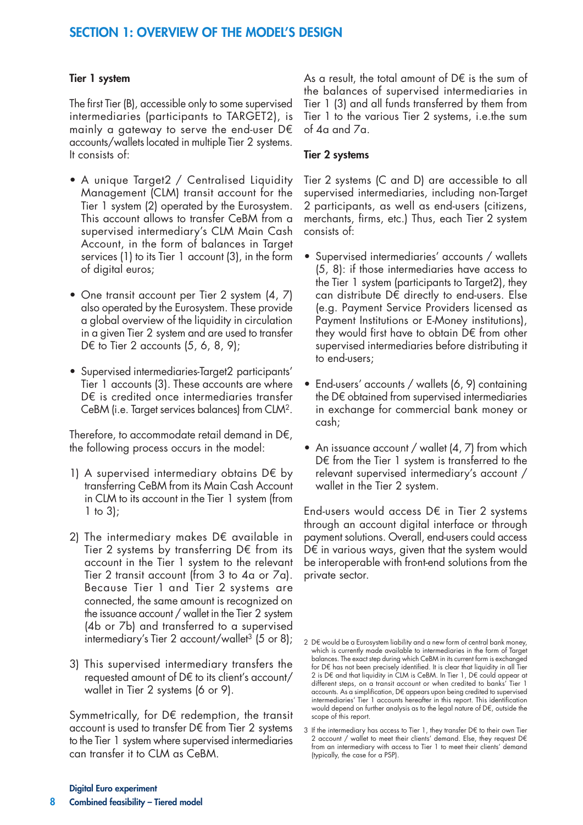# SECTION 1: OVERVIEW OF THE MODEL'S DESIGN

#### Tier 1 system

The first Tier (B), accessible only to some supervised intermediaries (participants to TARGET2), is mainly a gateway to serve the end-user D€ accounts/wallets located in multiple Tier 2 systems. It consists of:

- A unique Target2 / Centralised Liquidity Management (CLM) transit account for the Tier 1 system (2) operated by the Eurosystem. This account allows to transfer CeBM from a supervised intermediary's CLM Main Cash Account, in the form of balances in Target services (1) to its Tier 1 account (3), in the form of digital euros;
- One transit account per Tier 2 system (4, 7) also operated by the Eurosystem. These provide a global overview of the liquidity in circulation in a given Tier 2 system and are used to transfer D $\epsilon$  to Tier 2 accounts  $(5, 6, 8, 9)$ ;
- Supervised intermediaries-Target2 participants' Tier 1 accounts (3). These accounts are where D€ is credited once intermediaries transfer CeBM (i.e. Target services balances) from CLM2.

Therefore, to accommodate retail demand in D€, the following process occurs in the model:

- 1) A supervised intermediary obtains D€ by transferring CeBM from its Main Cash Account in CLM to its account in the Tier 1 system (from 1 to 3);
- 2) The intermediary makes D€ available in Tier 2 systems by transferring D€ from its account in the Tier 1 system to the relevant Tier 2 transit account (from 3 to 4a or 7a). Because Tier 1 and Tier 2 systems are connected, the same amount is recognized on the issuance account / wallet in the Tier 2 system (4b or 7b) and transferred to a supervised intermediary's Tier 2 account/wallet<sup>3</sup> (5 or 8);
- 3) This supervised intermediary transfers the requested amount of D€ to its client's account/ wallet in Tier 2 systems (6 or 9).

Symmetrically, for D€ redemption, the transit account is used to transfer D€ from Tier 2 systems to the Tier 1 system where supervised intermediaries can transfer it to CLM as CeBM.

As a result, the total amount of  $D \in \mathcal{E}$  is the sum of the balances of supervised intermediaries in Tier 1 (3) and all funds transferred by them from Tier 1 to the various Tier 2 systems, i.e.the sum of 4a and 7a.

#### Tier 2 systems

Tier 2 systems (C and D) are accessible to all supervised intermediaries, including non-Target 2 participants, as well as end-users (citizens, merchants, firms, etc.) Thus, each Tier 2 system consists of:

- Supervised intermediaries' accounts / wallets (5, 8): if those intermediaries have access to the Tier 1 system (participants to Target2), they can distribute D€ directly to end-users. Else (e.g. Payment Service Providers licensed as Payment Institutions or E-Money institutions), they would first have to obtain D€ from other supervised intermediaries before distributing it to end-users;
- End-users' accounts / wallets (6, 9) containing the D€ obtained from supervised intermediaries in exchange for commercial bank money or cash;
- An issuance account / wallet (4, 7) from which D€ from the Tier 1 system is transferred to the relevant supervised intermediary's account / wallet in the Tier 2 system.

End-users would access D€ in Tier 2 systems through an account digital interface or through payment solutions. Overall, end-users could access D€ in various ways, given that the system would be interoperable with front-end solutions from the private sector.

<sup>2</sup> D€ would be a Eurosystem liability and a new form of central bank money, which is currently made available to intermediaries in the form of Target balances. The exact step during which CeBM in its current form is exchanged for D€ has not been precisely identified. It is clear that liquidity in all Tier 2 is D€ and that liquidity in CLM is CeBM. In Tier 1, D€ could appear at different steps, on a transit account or when credited to banks' Tier 1 accounts. As a simplification, D€ appears upon being credited to supervised intermediaries' Tier 1 accounts hereafter in this report. This identification would depend on further analysis as to the legal nature of D€, outside the scope of this report.

<sup>3</sup> If the intermediary has access to Tier 1, they transfer D€ to their own Tier 2 account / wallet to meet their clients' demand. Else, they request D€ from an intermediary with access to Tier 1 to meet their clients' demand (typically, the case for a PSP).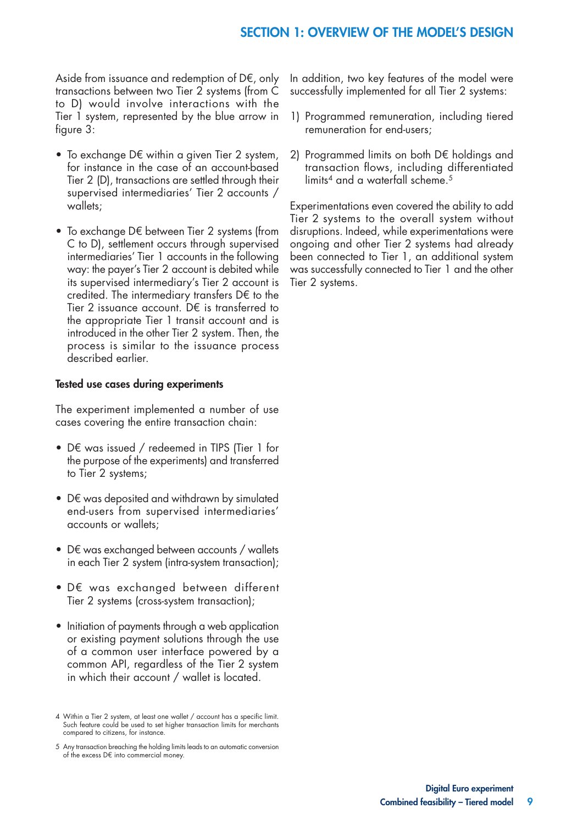# SECTION 1: OVERVIEW OF THE MODEL'S DESIGN

Aside from issuance and redemption of D $\epsilon$ , only transactions between two Tier 2 systems (from C to D) would involve interactions with the Tier 1 system, represented by the blue arrow in figure 3:

- To exchange D€ within a given Tier 2 system, for instance in the case of an account-based Tier 2 (D), transactions are settled through their supervised intermediaries' Tier 2 accounts / wallets;
- To exchange D€ between Tier 2 systems (from C to D), settlement occurs through supervised intermediaries' Tier 1 accounts in the following way: the payer's Tier 2 account is debited while its supervised intermediary's Tier 2 account is credited. The intermediary transfers D€ to the Tier 2 issuance account. D€ is transferred to the appropriate Tier 1 transit account and is introduced in the other Tier 2 system. Then, the process is similar to the issuance process described earlier.

#### Tested use cases during experiments

The experiment implemented a number of use cases covering the entire transaction chain:

- D€ was issued / redeemed in TIPS (Tier 1 for the purpose of the experiments) and transferred to Tier 2 systems;
- D€ was deposited and withdrawn by simulated end-users from supervised intermediaries' accounts or wallets;
- D€ was exchanged between accounts / wallets in each Tier 2 system (intra-system transaction);
- D€ was exchanged between different Tier 2 systems (cross-system transaction);
- Initiation of payments through a web application or existing payment solutions through the use of a common user interface powered by a common API, regardless of the Tier 2 system in which their account / wallet is located.

5 Any transaction breaching the holding limits leads to an automatic conversion of the excess D€ into commercial money.

In addition, two key features of the model were successfully implemented for all Tier 2 systems:

- 1) Programmed remuneration, including tiered remuneration for end-users;
- 2) Programmed limits on both D€ holdings and transaction flows, including differentiated limits<sup>4</sup> and a waterfall scheme.<sup>5</sup>

Experimentations even covered the ability to add Tier 2 systems to the overall system without disruptions. Indeed, while experimentations were ongoing and other Tier 2 systems had already been connected to Tier 1, an additional system was successfully connected to Tier 1 and the other Tier 2 systems.

<sup>4</sup> Within a Tier 2 system, at least one wallet / account has a specific limit. Such feature could be used to set higher transaction limits for merchants compared to citizens, for instance.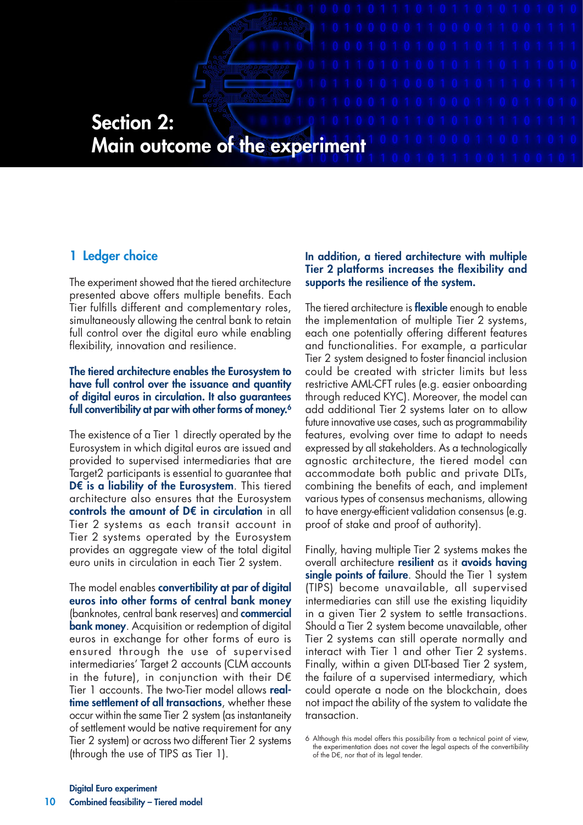# Section 2: Main outcome of the experiment

# 1 Ledger choice

The experiment showed that the tiered architecture presented above offers multiple benefits. Each Tier fulfills different and complementary roles, simultaneously allowing the central bank to retain full control over the digital euro while enabling flexibility, innovation and resilience.

#### The tiered architecture enables the Eurosystem to have full control over the issuance and quantity of digital euros in circulation. It also guarantees full convertibility at par with other forms of money.<sup>6</sup>

The existence of a Tier 1 directly operated by the Eurosystem in which digital euros are issued and provided to supervised intermediaries that are Target2 participants is essential to guarantee that D€ is a liability of the Eurosystem. This tiered architecture also ensures that the Eurosystem controls the amount of D€ in circulation in all Tier 2 systems as each transit account in Tier 2 systems operated by the Eurosystem provides an aggregate view of the total digital euro units in circulation in each Tier 2 system.

The model enables **convertibility at par of digital** euros into other forms of central bank money (banknotes, central bank reserves) and **commercial bank money**. Acquisition or redemption of digital euros in exchange for other forms of euro is ensured through the use of supervised intermediaries' Target 2 accounts (CLM accounts in the future), in conjunction with their  $D \in$ Tier 1 accounts. The two-Tier model allows realtime settlement of all transactions, whether these occur within the same Tier 2 system (as instantaneity of settlement would be native requirement for any Tier 2 system) or across two different Tier 2 systems (through the use of TIPS as Tier 1).

#### In addition, a tiered architecture with multiple Tier 2 platforms increases the flexibility and supports the resilience of the system.

The tiered architecture is **flexible** enough to enable the implementation of multiple Tier 2 systems, each one potentially offering different features and functionalities. For example, a particular Tier 2 system designed to foster financial inclusion could be created with stricter limits but less restrictive AML-CFT rules (e.g. easier onboarding through reduced KYC). Moreover, the model can add additional Tier 2 systems later on to allow future innovative use cases, such as programmability features, evolving over time to adapt to needs expressed by all stakeholders. As a technologically agnostic architecture, the tiered model can accommodate both public and private DLTs, combining the benefits of each, and implement various types of consensus mechanisms, allowing to have energy-efficient validation consensus (e.g. proof of stake and proof of authority).

Finally, having multiple Tier 2 systems makes the overall architecture resilient as it avoids having single points of failure. Should the Tier 1 system (TIPS) become unavailable, all supervised intermediaries can still use the existing liquidity in a given Tier 2 system to settle transactions. Should a Tier 2 system become unavailable, other Tier 2 systems can still operate normally and interact with Tier 1 and other Tier 2 systems. Finally, within a given DLT-based Tier 2 system, the failure of a supervised intermediary, which could operate a node on the blockchain, does not impact the ability of the system to validate the transaction.

<sup>6</sup> Although this model offers this possibility from a technical point of view, the experimentation does not cover the legal aspects of the convertibility of the D€, nor that of its legal tender.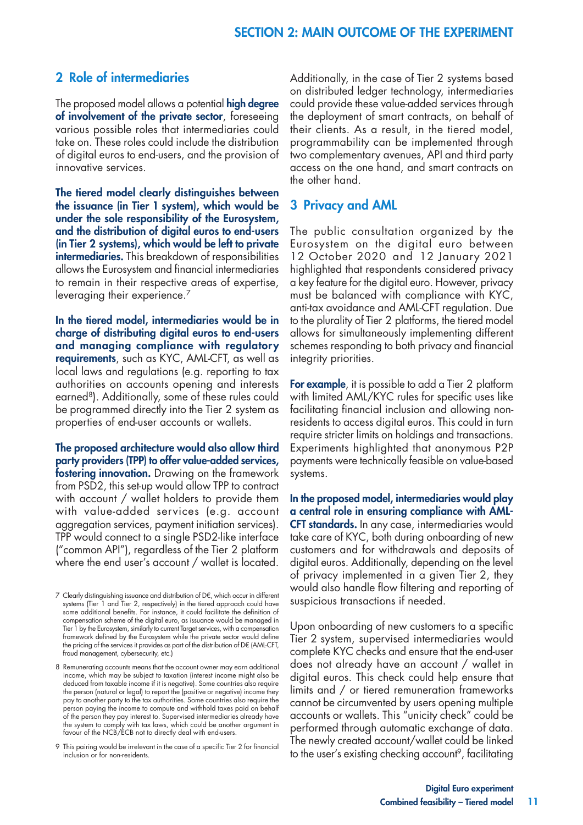# 2 Role of intermediaries

The proposed model allows a potential **high degree** of involvement of the private sector, foreseeing various possible roles that intermediaries could take on. These roles could include the distribution of digital euros to end-users, and the provision of innovative services.

The tiered model clearly distinguishes between the issuance (in Tier 1 system), which would be under the sole responsibility of the Eurosystem, and the distribution of digital euros to end-users (in Tier 2 systems), which would be left to private intermediaries. This breakdown of responsibilities allows the Eurosystem and financial intermediaries to remain in their respective areas of expertise, leveraging their experience.<sup>7</sup>

In the tiered model, intermediaries would be in charge of distributing digital euros to end-users and managing compliance with regulatory requirements, such as KYC, AML-CFT, as well as local laws and regulations (e.g. reporting to tax authorities on accounts opening and interests earned<sup>8</sup>). Additionally, some of these rules could be programmed directly into the Tier 2 system as properties of end-user accounts or wallets.

The proposed architecture would also allow third party providers (TPP) to offer value-added services, fostering innovation. Drawing on the framework from PSD2, this set-up would allow TPP to contract with account / wallet holders to provide them with value-added services (e.g. account aggregation services, payment initiation services). TPP would connect to a single PSD2-like interface ("common API"), regardless of the Tier 2 platform where the end user's account / wallet is located.

7 Clearly distinguishing issuance and distribution of D€, which occur in different systems (Tier 1 and Tier 2, respectively) in the tiered approach could have some additional benefits. For instance, it could facilitate the definition of compensation scheme of the digital euro, as issuance would be managed in Tier 1 by the Eurosystem, similarly to current Target services, with a compensation framework defined by the Eurosystem while the private sector would define the pricing of the services it provides as part of the distribution of D€ (AML-CFT, fraud management, cybersecurity, etc.)

8 Remunerating accounts means that the account owner may earn additional income, which may be subject to taxation (interest income might also be deduced from taxable income if it is negative). Some countries also require the person (natural or legal) to report the (positive or negative) income they pay to another party to the tax authorities. Some countries also require the person paying the income to compute and withhold taxes paid on behalf of the person they pay interest to. Supervised intermediaries already have the system to comply with tax laws, which could be another argument in favour of the NCB/ECB not to directly deal with end-users.

9 This pairing would be irrelevant in the case of a specific Tier 2 for financial inclusion or for non-residents.

Additionally, in the case of Tier 2 systems based on distributed ledger technology, intermediaries could provide these value-added services through the deployment of smart contracts, on behalf of their clients. As a result, in the tiered model, programmability can be implemented through two complementary avenues, API and third party access on the one hand, and smart contracts on the other hand.

#### 3 Privacy and AML

The [public consultation](https://www.ecb.europa.eu/pub/pdf/other/Eurosystem_report_on_the_public_consultation_on_a_digital_euro~539fa8cd8d.en.pdf) organized by the Eurosystem on the digital euro between 12 October 2020 and 12 January 2021 highlighted that respondents considered privacy a key feature for the digital euro. However, privacy must be balanced with compliance with KYC, anti-tax avoidance and AML-CFT regulation. Due to the plurality of Tier 2 platforms, the tiered model allows for simultaneously implementing different schemes responding to both privacy and financial integrity priorities.

For example, it is possible to add a Tier 2 platform with limited AML/KYC rules for specific uses like facilitating financial inclusion and allowing nonresidents to access digital euros. This could in turn require stricter limits on holdings and transactions. Experiments highlighted that anonymous P2P payments were technically feasible on value-based systems.

In the proposed model, intermediaries would play a central role in ensuring compliance with AML-CFT standards. In any case, intermediaries would take care of KYC, both during onboarding of new customers and for withdrawals and deposits of digital euros. Additionally, depending on the level of privacy implemented in a given Tier 2, they would also handle flow filtering and reporting of suspicious transactions if needed.

Upon onboarding of new customers to a specific Tier 2 system, supervised intermediaries would complete KYC checks and ensure that the end-user does not already have an account / wallet in digital euros. This check could help ensure that limits and / or tiered remuneration frameworks cannot be circumvented by users opening multiple accounts or wallets. This "unicity check" could be performed through automatic exchange of data. The newly created account/wallet could be linked to the user's existing checking account<sup>9</sup>, facilitating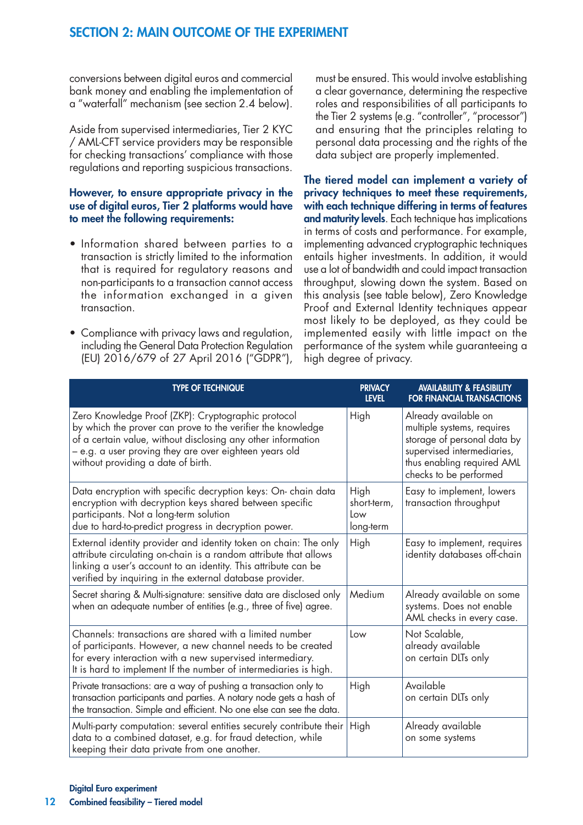conversions between digital euros and commercial bank money and enabling the implementation of a "waterfall" mechanism (see section 2.4 below).

Aside from supervised intermediaries, Tier 2 KYC / AML-CFT service providers may be responsible for checking transactions' compliance with those regulations and reporting suspicious transactions.

#### However, to ensure appropriate privacy in the use of digital euros, Tier 2 platforms would have to meet the following requirements:

- Information shared between parties to a transaction is strictly limited to the information that is required for regulatory reasons and non-participants to a transaction cannot access the information exchanged in a given transaction.
- Compliance with privacy laws and regulation, including the General Data Protection Regulation (EU) 2016/679 of 27 April 2016 ("GDPR"),

must be ensured. This would involve establishing a clear governance, determining the respective roles and responsibilities of all participants to the Tier 2 systems (e.g. "controller", "processor") and ensuring that the principles relating to personal data processing and the rights of the data subject are properly implemented.

The tiered model can implement a variety of privacy techniques to meet these requirements, with each technique differing in terms of features and maturity levels. Each technique has implications in terms of costs and performance. For example, implementing advanced cryptographic techniques entails higher investments. In addition, it would use a lot of bandwidth and could impact transaction throughput, slowing down the system. Based on this analysis (see table below), Zero Knowledge Proof and External Identity techniques appear most likely to be deployed, as they could be implemented easily with little impact on the performance of the system while guaranteeing a high degree of privacy.

| <b>TYPE OF TECHNIQUE</b>                                                                                                                                                                                                                                                          | <b>PRIVACY</b><br><b>LEVEL</b>          | <b>AVAILABILITY &amp; FEASIBILITY</b><br><b>FOR FINANCIAL TRANSACTIONS</b>                                                                                              |
|-----------------------------------------------------------------------------------------------------------------------------------------------------------------------------------------------------------------------------------------------------------------------------------|-----------------------------------------|-------------------------------------------------------------------------------------------------------------------------------------------------------------------------|
| Zero Knowledge Proof (ZKP): Cryptographic protocol<br>by which the prover can prove to the verifier the knowledge<br>of a certain value, without disclosing any other information<br>– e.g. a user proving they are over eighteen years old<br>without providing a date of birth. | High                                    | Already available on<br>multiple systems, requires<br>storage of personal data by<br>supervised intermediaries,<br>thus enabling required AML<br>checks to be performed |
| Data encryption with specific decryption keys: On- chain data<br>encryption with decryption keys shared between specific<br>participants. Not a long-term solution<br>due to hard-to-predict progress in decryption power.                                                        | High<br>short-term,<br>Low<br>long-term | Easy to implement, lowers<br>transaction throughput                                                                                                                     |
| External identity provider and identity token on chain: The only<br>attribute circulating on-chain is a random attribute that allows<br>linking a user's account to an identity. This attribute can be<br>verified by inquiring in the external database provider.                | High                                    | Easy to implement, requires<br>identity databases off-chain                                                                                                             |
| Secret sharing & Multi-signature: sensitive data are disclosed only<br>when an adequate number of entities (e.g., three of five) agree.                                                                                                                                           | Medium                                  | Already available on some<br>systems. Does not enable<br>AML checks in every case.                                                                                      |
| Channels: transactions are shared with a limited number<br>of participants. However, a new channel needs to be created<br>for every interaction with a new supervised intermediary.<br>It is hard to implement If the number of intermediaries is high.                           | Low                                     | Not Scalable,<br>already available<br>on certain DLTs only                                                                                                              |
| Private transactions: are a way of pushing a transaction only to<br>transaction participants and parties. A notary node gets a hash of<br>the transaction. Simple and efficient. No one else can see the data.                                                                    | High                                    | Available<br>on certain DLTs only                                                                                                                                       |
| Multi-party computation: several entities securely contribute their<br>data to a combined dataset, e.g. for fraud detection, while<br>keeping their data private from one another.                                                                                                | High                                    | Already available<br>on some systems                                                                                                                                    |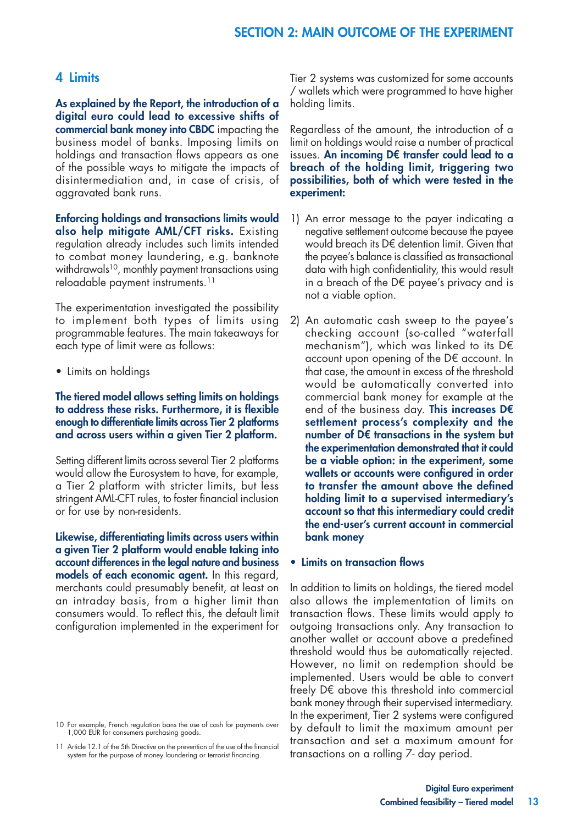#### 4 Limits

As explained by the Report, the introduction of a digital euro could lead to excessive shifts of commercial bank money into CBDC impacting the business model of banks. Imposing limits on holdings and transaction flows appears as one of the possible ways to mitigate the impacts of disintermediation and, in case of crisis, of aggravated bank runs.

Enforcing holdings and transactions limits would also help mitigate AML/CFT risks. Existing regulation already includes such limits intended to combat money laundering, e.g. banknote withdrawals<sup>10</sup>, monthly payment transactions using reloadable payment instruments.11

The experimentation investigated the possibility to implement both types of limits using programmable features. The main takeaways for each type of limit were as follows:

• Limits on holdings

#### The tiered model allows setting limits on holdings to address these risks. Furthermore, it is flexible enough to differentiate limits across Tier 2 platforms and across users within a given Tier 2 platform.

Setting different limits across several Tier 2 platforms would allow the Eurosystem to have, for example, a Tier 2 platform with stricter limits, but less stringent AML-CFT rules, to foster financial inclusion or for use by non-residents.

Likewise, differentiating limits across users within a given Tier 2 platform would enable taking into account differences in the legal nature and business models of each economic agent. In this regard, merchants could presumably benefit, at least on an intraday basis, from a higher limit than consumers would. To reflect this, the default limit configuration implemented in the experiment for Tier 2 systems was customized for some accounts / wallets which were programmed to have higher holding limits.

Regardless of the amount, the introduction of a limit on holdings would raise a number of practical issues. An incoming D€ transfer could lead to a breach of the holding limit, triggering two possibilities, both of which were tested in the experiment:

- 1) An error message to the payer indicating a negative settlement outcome because the payee would breach its D€ detention limit. Given that the payee's balance is classified as transactional data with high confidentiality, this would result in a breach of the D€ payee's privacy and is not a viable option.
- 2) An automatic cash sweep to the payee's checking account (so-called "waterfall mechanism"), which was linked to its D€ account upon opening of the D€ account. In that case, the amount in excess of the threshold would be automatically converted into commercial bank money for example at the end of the business day. This increases D $\epsilon$ settlement process's complexity and the number of D€ transactions in the system but the experimentation demonstrated that it could be a viable option: in the experiment, some wallets or accounts were configured in order to transfer the amount above the defined holding limit to a supervised intermediary's account so that this intermediary could credit the end-user's current account in commercial bank money

#### • Limits on transaction flows

In addition to limits on holdings, the tiered model also allows the implementation of limits on transaction flows. These limits would apply to outgoing transactions only. Any transaction to another wallet or account above a predefined threshold would thus be automatically rejected. However, no limit on redemption should be implemented. Users would be able to convert freely D€ above this threshold into commercial bank money through their supervised intermediary. In the experiment, Tier 2 systems were configured by default to limit the maximum amount per transaction and set a maximum amount for transactions on a rolling 7- day period.

<sup>10</sup> For example, French regulation bans the use of cash for payments over 1,000 EUR for consumers purchasing goods.

<sup>11</sup> Article 12.1 of the 5th Directive on the prevention of the use of the financial system for the purpose of money laundering or terrorist financing.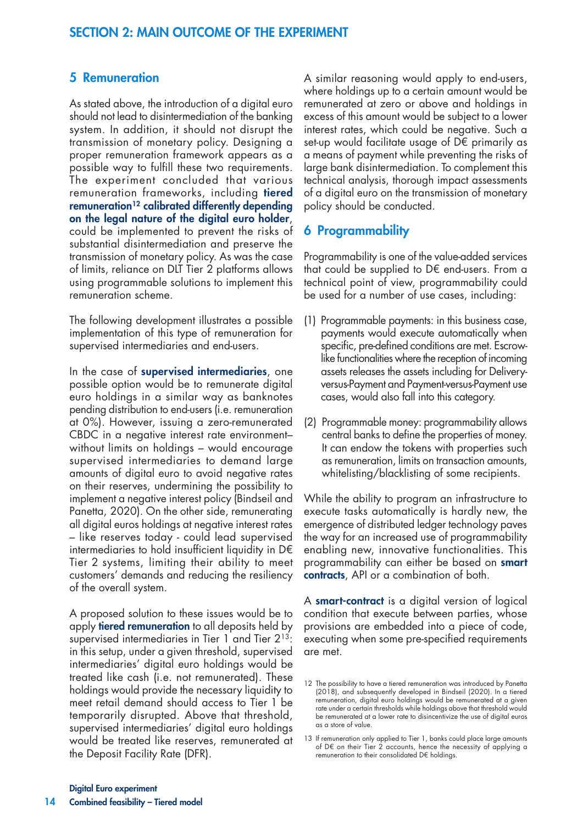### 5 Remuneration

As stated above, the introduction of a digital euro should not lead to disintermediation of the banking system. In addition, it should not disrupt the transmission of monetary policy. Designing a proper remuneration framework appears as a possible way to fulfill these two requirements. The experiment concluded that various remuneration frameworks, including tiered remuneration<sup>12</sup> calibrated differently depending on the legal nature of the digital euro holder, could be implemented to prevent the risks of substantial disintermediation and preserve the transmission of monetary policy. As was the case of limits, reliance on DLT Tier 2 platforms allows using programmable solutions to implement this remuneration scheme.

The following development illustrates a possible implementation of this type of remuneration for supervised intermediaries and end-users.

In the case of supervised intermediaries, one possible option would be to remunerate digital euro holdings in a similar way as banknotes pending distribution to end-users (i.e. remuneration at 0%). However, issuing a zero-remunerated CBDC in a negative interest rate environment– without limits on holdings – would encourage supervised intermediaries to demand large amounts of digital euro to avoid negative rates on their reserves, undermining the possibility to implement a negative interest policy (Bindseil and Panetta, 2020). On the other side, remunerating all digital euros holdings at negative interest rates – like reserves today - could lead supervised intermediaries to hold insufficient liquidity in D€ Tier 2 systems, limiting their ability to meet customers' demands and reducing the resiliency of the overall system.

A proposed solution to these issues would be to apply **tiered remuneration** to all deposits held by supervised intermediaries in Tier 1 and Tier 2<sup>13</sup>: in this setup, under a given threshold, supervised intermediaries' digital euro holdings would be treated like cash (i.e. not remunerated). These holdings would provide the necessary liquidity to meet retail demand should access to Tier 1 be temporarily disrupted. Above that threshold, supervised intermediaries' digital euro holdings would be treated like reserves, remunerated at the Deposit Facility Rate (DFR).

A similar reasoning would apply to end-users, where holdings up to a certain amount would be remunerated at zero or above and holdings in excess of this amount would be subject to a lower interest rates, which could be negative. Such a set-up would facilitate usage of D€ primarily as a means of payment while preventing the risks of large bank disintermediation. To complement this technical analysis, thorough impact assessments of a digital euro on the transmission of monetary policy should be conducted.

## 6 Programmability

Programmability is one of the value-added services that could be supplied to D $\epsilon$  end-users. From a technical point of view, programmability could be used for a number of use cases, including:

- (1) Programmable payments: in this business case, payments would execute automatically when specific, pre-defined conditions are met. Escrowlike functionalities where the reception of incoming assets releases the assets including for Deliveryversus-Payment and Payment-versus-Payment use cases, would also fall into this category.
- (2) Programmable money: programmability allows central banks to define the properties of money. It can endow the tokens with properties such as remuneration, limits on transaction amounts, whitelisting/blacklisting of some recipients.

While the ability to program an infrastructure to execute tasks automatically is hardly new, the emergence of distributed ledger technology paves the way for an increased use of programmability enabling new, innovative functionalities. This programmability can either be based on smart contracts, API or a combination of both.

A smart-contract is a digital version of logical condition that execute between parties, whose provisions are embedded into a piece of code, executing when some pre-specified requirements are met.

<sup>12</sup> The possibility to have a tiered remuneration was introduced by Panetta (2018), and subsequently developed in Bindseil (2020). In a tiered remuneration, digital euro holdings would be remunerated at a given rate under a certain thresholds while holdings above that threshold would be remunerated at a lower rate to disincentivize the use of digital euros as a store of value.

<sup>13</sup> If remuneration only applied to Tier 1, banks could place large amounts of D€ on their Tier 2 accounts, hence the necessity of applying a remuneration to their consolidated D $\in$  holdings.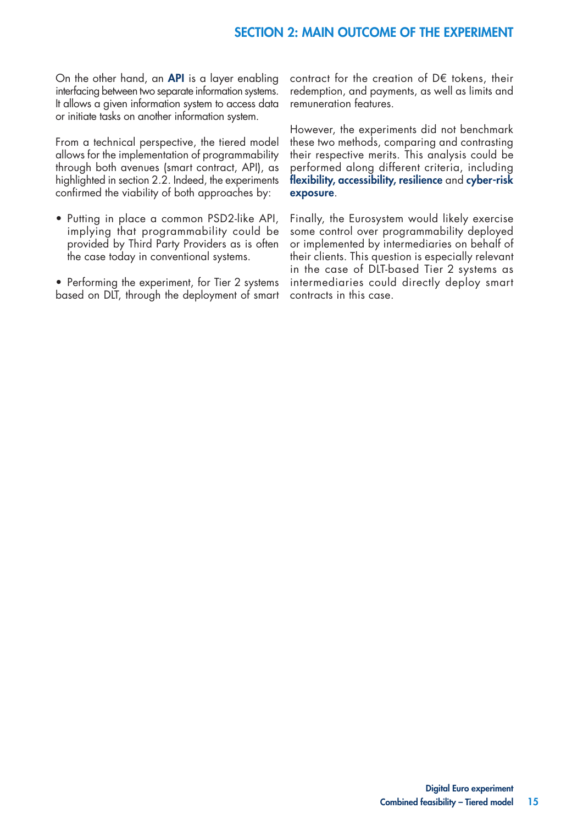On the other hand, an API is a layer enabling interfacing between two separate information systems. It allows a given information system to access data or initiate tasks on another information system.

From a technical perspective, the tiered model allows for the implementation of programmability through both avenues (smart contract, API), as highlighted in section 2.2. Indeed, the experiments confirmed the viability of both approaches by:

- Putting in place a common PSD2-like API, implying that programmability could be provided by Third Party Providers as is often the case today in conventional systems.
- Performing the experiment, for Tier 2 systems based on DLT, through the deployment of smart

contract for the creation of D€ tokens, their redemption, and payments, as well as limits and remuneration features.

However, the experiments did not benchmark these two methods, comparing and contrasting their respective merits. This analysis could be performed along different criteria, including flexibility, accessibility, resilience and cyber-risk exposure.

Finally, the Eurosystem would likely exercise some control over programmability deployed or implemented by intermediaries on behalf of their clients. This question is especially relevant in the case of DLT-based Tier 2 systems as intermediaries could directly deploy smart contracts in this case.